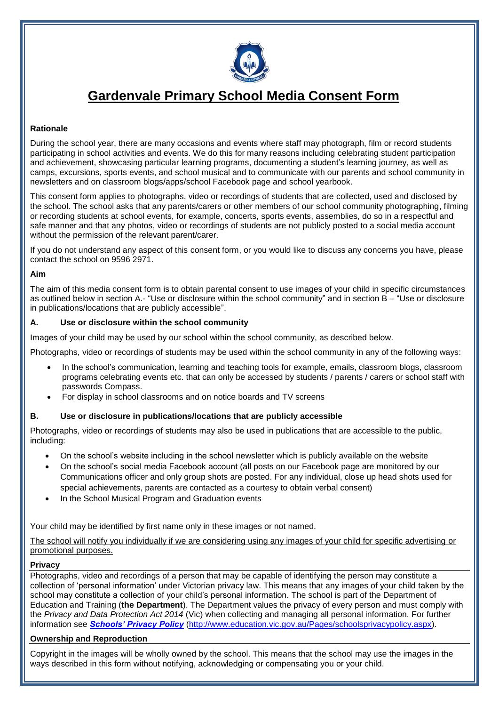

# **Gardenvale Primary School Media Consent Form**

## **Rationale**

During the school year, there are many occasions and events where staff may photograph, film or record students participating in school activities and events. We do this for many reasons including celebrating student participation and achievement, showcasing particular learning programs, documenting a student's learning journey, as well as camps, excursions, sports events, and school musical and to communicate with our parents and school community in newsletters and on classroom blogs/apps/school Facebook page and school yearbook.

This consent form applies to photographs, video or recordings of students that are collected, used and disclosed by the school. The school asks that any parents/carers or other members of our school community photographing, filming or recording students at school events, for example, concerts, sports events, assemblies, do so in a respectful and safe manner and that any photos, video or recordings of students are not publicly posted to a social media account without the permission of the relevant parent/carer.

If you do not understand any aspect of this consent form, or you would like to discuss any concerns you have, please contact the school on 9596 2971.

#### **Aim**

The aim of this media consent form is to obtain parental consent to use images of your child in specific circumstances as outlined below in section A.- "Use or disclosure within the school community" and in section B – "Use or disclosure in publications/locations that are publicly accessible".

#### **A. Use or disclosure within the school community**

Images of your child may be used by our school within the school community, as described below.

Photographs, video or recordings of students may be used within the school community in any of the following ways:

- In the school's communication, learning and teaching tools for example, emails, classroom blogs, classroom programs celebrating events etc. that can only be accessed by students / parents / carers or school staff with passwords Compass.
- For display in school classrooms and on notice boards and TV screens

## **B. Use or disclosure in publications/locations that are publicly accessible**

Photographs, video or recordings of students may also be used in publications that are accessible to the public, including:

- On the school's website including in the school newsletter which is publicly available on the website
- On the school's social media Facebook account (all posts on our Facebook page are monitored by our Communications officer and only group shots are posted. For any individual, close up head shots used for special achievements, parents are contacted as a courtesy to obtain verbal consent)
- In the School Musical Program and Graduation events

Your child may be identified by first name only in these images or not named.

The school will notify you individually if we are considering using any images of your child for specific advertising or promotional purposes.

#### **Privacy**

Photographs, video and recordings of a person that may be capable of identifying the person may constitute a collection of 'personal information' under Victorian privacy law. This means that any images of your child taken by the school may constitute a collection of your child's personal information. The school is part of the Department of Education and Training (**the Department**). The Department values the privacy of every person and must comply with the *Privacy and Data Protection Act 2014* (Vic) when collecting and managing all personal information. For further information see *[Schools' Privacy Policy](http://www.education.vic.gov.au/Pages/schoolsprivacypolicy.aspx)* [\(http://www.education.vic.gov.au/Pages/schoolsprivacypolicy.aspx\)](http://www.education.vic.gov.au/Pages/schoolsprivacypolicy.aspx).

## **Ownership and Reproduction**

Copyright in the images will be wholly owned by the school. This means that the school may use the images in the ways described in this form without notifying, acknowledging or compensating you or your child.